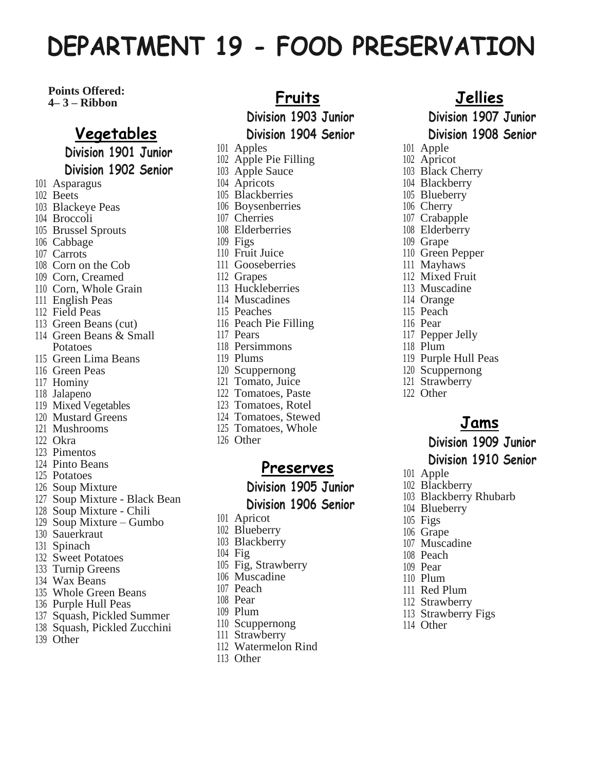# **DEPARTMENT 19 - FOOD PRESERVATION**

#### **Points Offered: 4– 3 – Ribbon**

## **Vegetables**

**Division 1901 Junior Division 1902 Senior**

- Asparagus
- Beets
- Blackeye Peas
- Broccoli
- Brussel Sprouts
- Cabbage
- Carrots
- Corn on the Cob
- Corn, Creamed
- Corn, Whole Grain
- English Peas
- Field Peas
- Green Beans (cut)
- Green Beans & Small Potatoes
- Green Lima Beans
- Green Peas
- Hominy
- Jalapeno
- Mixed Vegetables
- Mustard Greens
- Mushrooms
- Okra
- Pimentos
- Pinto Beans
- Potatoes
- Soup Mixture
- Soup Mixture Black Bean
- Soup Mixture Chili
- Soup Mixture Gumbo
- Sauerkraut
- Spinach
- Sweet Potatoes
- Turnip Greens
- Wax Beans
- Whole Green Beans
- Purple Hull Peas
- Squash, Pickled Summer
- Squash, Pickled Zucchini
- Other
- **Fruits Division 1903 Junior Division 1904 Senior** Apples Apple Pie Filling Apple Sauce Apricots Blackberries Boysenberries Cherries Elderberries Figs Fruit Juice Gooseberries Grapes Huckleberries Muscadines Peaches Peach Pie Filling Pears Persimmons
- Plums
- Scuppernong
- Tomato, Juice
- Tomatoes, Paste
- Tomatoes, Rotel
- Tomatoes, Stewed
- Tomatoes, Whole
- Other

#### **Preserves**

**Division 1905 Junior Division 1906 Senior**

- Apricot
- Blueberry
- Blackberry
- Fig
- Fig, Strawberry
- Muscadine
- Peach
- Pear
- Plum
- Scuppernong
- Strawberry
- Watermelon Rind
- Other

#### **Jellies**

**Division 1907 Junior Division 1908 Senior**

- Apple
- Apricot
- Black Cherry
- Blackberry
- Blueberry
- Cherry
- Crabapple
- Elderberry
- Grape
- Green Pepper
- Mayhaws
- Mixed Fruit
- Muscadine
- Orange
- Peach
- Pear
- Pepper Jelly
- Plum
- Purple Hull Peas
- Scuppernong
- Strawberry
- Other

### **Jams**

# **Division 1909 Junior**

#### **Division 1910 Senior**

- Apple
- Blackberry
- Blackberry Rhubarb
- Blueberry
- Figs
- Grape Muscadine

 Peach Pear Plum Red Plum Strawberry Strawberry Figs

Other